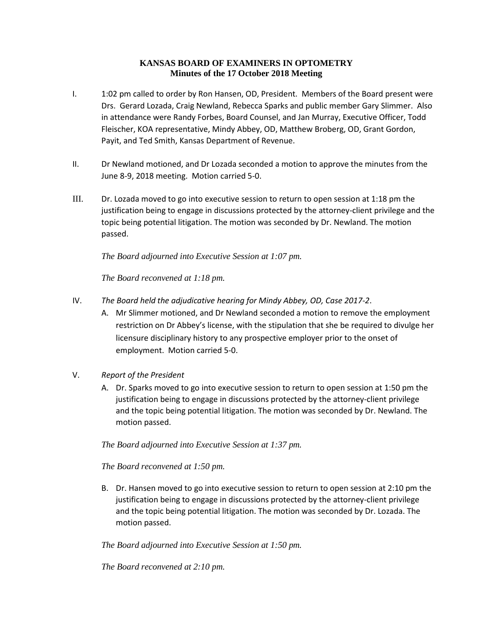# **KANSAS BOARD OF EXAMINERS IN OPTOMETRY Minutes of the 17 October 2018 Meeting**

- I. 1:02 pm called to order by Ron Hansen, OD, President. Members of the Board present were Drs. Gerard Lozada, Craig Newland, Rebecca Sparks and public member Gary Slimmer. Also in attendance were Randy Forbes, Board Counsel, and Jan Murray, Executive Officer, Todd Fleischer, KOA representative, Mindy Abbey, OD, Matthew Broberg, OD, Grant Gordon, Payit, and Ted Smith, Kansas Department of Revenue.
- II. Dr Newland motioned, and Dr Lozada seconded a motion to approve the minutes from the June 8-9, 2018 meeting. Motion carried 5-0.
- III. Dr. Lozada moved to go into executive session to return to open session at 1:18 pm the justification being to engage in discussions protected by the attorney-client privilege and the topic being potential litigation. The motion was seconded by Dr. Newland. The motion passed.

*The Board adjourned into Executive Session at 1:07 pm.*

*The Board reconvened at 1:18 pm.*

- IV. *The Board held the adjudicative hearing for Mindy Abbey, OD, Case 2017-2*.
	- A. Mr Slimmer motioned, and Dr Newland seconded a motion to remove the employment restriction on Dr Abbey's license, with the stipulation that she be required to divulge her licensure disciplinary history to any prospective employer prior to the onset of employment. Motion carried 5-0.
- V. *Report of the President*
	- A. Dr. Sparks moved to go into executive session to return to open session at 1:50 pm the justification being to engage in discussions protected by the attorney-client privilege and the topic being potential litigation. The motion was seconded by Dr. Newland. The motion passed.

*The Board adjourned into Executive Session at 1:37 pm.*

*The Board reconvened at 1:50 pm.*

B. Dr. Hansen moved to go into executive session to return to open session at 2:10 pm the justification being to engage in discussions protected by the attorney-client privilege and the topic being potential litigation. The motion was seconded by Dr. Lozada. The motion passed.

*The Board adjourned into Executive Session at 1:50 pm.*

*The Board reconvened at 2:10 pm.*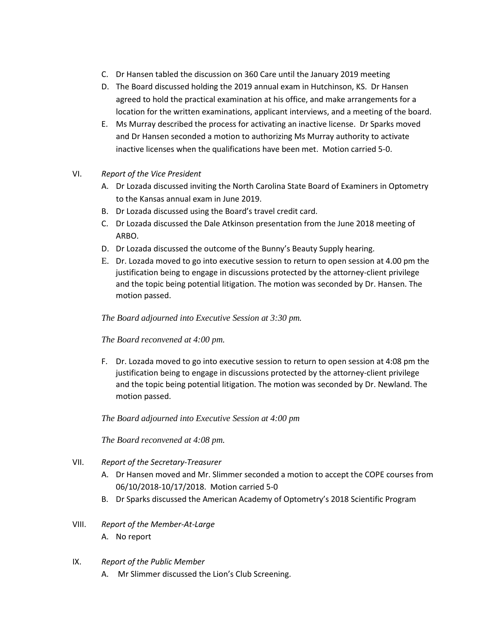- C. Dr Hansen tabled the discussion on 360 Care until the January 2019 meeting
- D. The Board discussed holding the 2019 annual exam in Hutchinson, KS. Dr Hansen agreed to hold the practical examination at his office, and make arrangements for a location for the written examinations, applicant interviews, and a meeting of the board.
- E. Ms Murray described the process for activating an inactive license. Dr Sparks moved and Dr Hansen seconded a motion to authorizing Ms Murray authority to activate inactive licenses when the qualifications have been met. Motion carried 5-0.

### VI. *Report of the Vice President*

- A. Dr Lozada discussed inviting the North Carolina State Board of Examiners in Optometry to the Kansas annual exam in June 2019.
- B. Dr Lozada discussed using the Board's travel credit card.
- C. Dr Lozada discussed the Dale Atkinson presentation from the June 2018 meeting of ARBO.
- D. Dr Lozada discussed the outcome of the Bunny's Beauty Supply hearing.
- E. Dr. Lozada moved to go into executive session to return to open session at 4.00 pm the justification being to engage in discussions protected by the attorney-client privilege and the topic being potential litigation. The motion was seconded by Dr. Hansen. The motion passed.

# *The Board adjourned into Executive Session at 3:30 pm.*

### *The Board reconvened at 4:00 pm.*

F. Dr. Lozada moved to go into executive session to return to open session at 4:08 pm the justification being to engage in discussions protected by the attorney-client privilege and the topic being potential litigation. The motion was seconded by Dr. Newland. The motion passed.

### *The Board adjourned into Executive Session at 4:00 pm*

*The Board reconvened at 4:08 pm.*

- VII. *Report of the Secretary-Treasurer*
	- A. Dr Hansen moved and Mr. Slimmer seconded a motion to accept the COPE courses from 06/10/2018-10/17/2018. Motion carried 5-0
	- B. Dr Sparks discussed the American Academy of Optometry's 2018 Scientific Program
- VIII. *Report of the Member-At-Large*
	- A. No report

### IX. *Report of the Public Member*

A. Mr Slimmer discussed the Lion's Club Screening.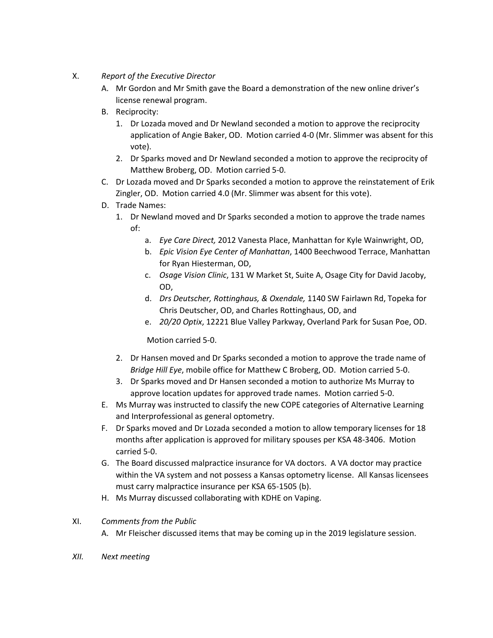- X. *Report of the Executive Director*
	- A. Mr Gordon and Mr Smith gave the Board a demonstration of the new online driver's license renewal program.
	- B. Reciprocity:
		- 1. Dr Lozada moved and Dr Newland seconded a motion to approve the reciprocity application of Angie Baker, OD. Motion carried 4-0 (Mr. Slimmer was absent for this vote).
		- 2. Dr Sparks moved and Dr Newland seconded a motion to approve the reciprocity of Matthew Broberg, OD. Motion carried 5-0.
	- C. Dr Lozada moved and Dr Sparks seconded a motion to approve the reinstatement of Erik Zingler, OD. Motion carried 4.0 (Mr. Slimmer was absent for this vote).
	- D. Trade Names:
		- 1. Dr Newland moved and Dr Sparks seconded a motion to approve the trade names of:
			- a. *Eye Care Direct,* 2012 Vanesta Place, Manhattan for Kyle Wainwright, OD,
			- b. *Epic Vision Eye Center of Manhattan*, 1400 Beechwood Terrace, Manhattan for Ryan Hiesterman, OD,
			- c. *Osage Vision Clinic*, 131 W Market St, Suite A, Osage City for David Jacoby, OD,
			- d. *Drs Deutscher, Rottinghaus, & Oxendale,* 1140 SW Fairlawn Rd, Topeka for Chris Deutscher, OD, and Charles Rottinghaus, OD, and
			- e. *20/20 Optix*, 12221 Blue Valley Parkway, Overland Park for Susan Poe, OD.

Motion carried 5-0.

- 2. Dr Hansen moved and Dr Sparks seconded a motion to approve the trade name of *Bridge Hill Eye*, mobile office for Matthew C Broberg, OD. Motion carried 5-0.
- 3. Dr Sparks moved and Dr Hansen seconded a motion to authorize Ms Murray to approve location updates for approved trade names. Motion carried 5-0.
- E. Ms Murray was instructed to classify the new COPE categories of Alternative Learning and Interprofessional as general optometry.
- F. Dr Sparks moved and Dr Lozada seconded a motion to allow temporary licenses for 18 months after application is approved for military spouses per KSA 48-3406. Motion carried 5-0.
- G. The Board discussed malpractice insurance for VA doctors. A VA doctor may practice within the VA system and not possess a Kansas optometry license. All Kansas licensees must carry malpractice insurance per KSA 65-1505 (b).
- H. Ms Murray discussed collaborating with KDHE on Vaping.

### XI. *Comments from the Public*

- A. Mr Fleischer discussed items that may be coming up in the 2019 legislature session.
- *XII. Next meeting*